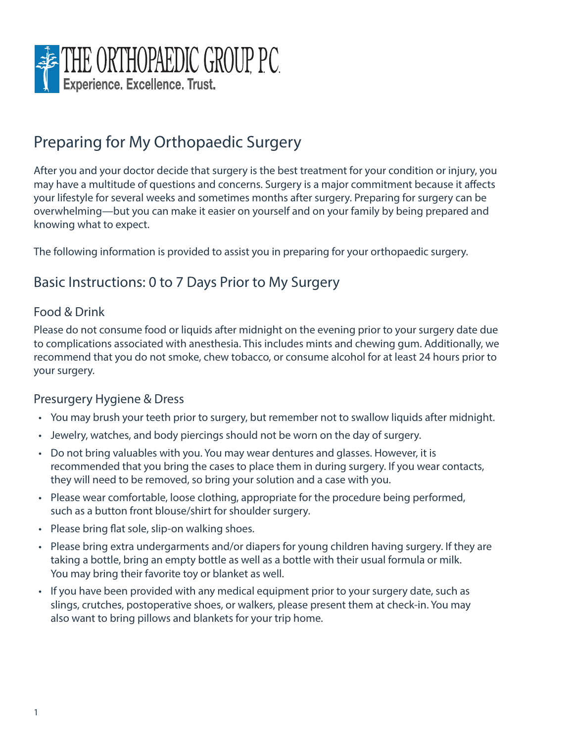

# Preparing for My Orthopaedic Surgery

After you and your doctor decide that surgery is the best treatment for your condition or injury, you may have a multitude of questions and concerns. Surgery is a major commitment because it affects your lifestyle for several weeks and sometimes months after surgery. Preparing for surgery can be overwhelming—but you can make it easier on yourself and on your family by being prepared and knowing what to expect.

The following information is provided to assist you in preparing for your orthopaedic surgery.

# Basic Instructions: 0 to 7 Days Prior to My Surgery

### Food & Drink

Please do not consume food or liquids after midnight on the evening prior to your surgery date due to complications associated with anesthesia. This includes mints and chewing gum. Additionally, we recommend that you do not smoke, chew tobacco, or consume alcohol for at least 24 hours prior to your surgery.

### Presurgery Hygiene & Dress

- You may brush your teeth prior to surgery, but remember not to swallow liquids after midnight.
- Jewelry, watches, and body piercings should not be worn on the day of surgery.
- Do not bring valuables with you. You may wear dentures and glasses. However, it is recommended that you bring the cases to place them in during surgery. If you wear contacts, they will need to be removed, so bring your solution and a case with you.
- Please wear comfortable, loose clothing, appropriate for the procedure being performed, such as a button front blouse/shirt for shoulder surgery.
- Please bring flat sole, slip-on walking shoes.
- Please bring extra undergarments and/or diapers for young children having surgery. If they are taking a bottle, bring an empty bottle as well as a bottle with their usual formula or milk. You may bring their favorite toy or blanket as well.
- If you have been provided with any medical equipment prior to your surgery date, such as slings, crutches, postoperative shoes, or walkers, please present them at check-in. You may also want to bring pillows and blankets for your trip home.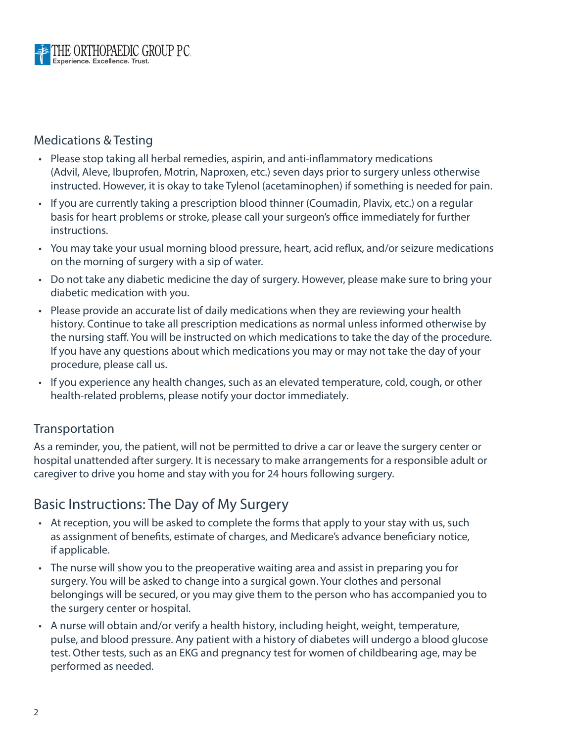

### Medications & Testing

- Please stop taking all herbal remedies, aspirin, and anti-inflammatory medications (Advil, Aleve, Ibuprofen, Motrin, Naproxen, etc.) seven days prior to surgery unless otherwise instructed. However, it is okay to take Tylenol (acetaminophen) if something is needed for pain.
- If you are currently taking a prescription blood thinner (Coumadin, Plavix, etc.) on a regular basis for heart problems or stroke, please call your surgeon's office immediately for further instructions.
- You may take your usual morning blood pressure, heart, acid reflux, and/or seizure medications on the morning of surgery with a sip of water.
- Do not take any diabetic medicine the day of surgery. However, please make sure to bring your diabetic medication with you.
- Please provide an accurate list of daily medications when they are reviewing your health history. Continue to take all prescription medications as normal unless informed otherwise by the nursing staff. You will be instructed on which medications to take the day of the procedure. If you have any questions about which medications you may or may not take the day of your procedure, please call us.
- If you experience any health changes, such as an elevated temperature, cold, cough, or other health-related problems, please notify your doctor immediately.

### Transportation

As a reminder, you, the patient, will not be permitted to drive a car or leave the surgery center or hospital unattended after surgery. It is necessary to make arrangements for a responsible adult or caregiver to drive you home and stay with you for 24 hours following surgery.

# Basic Instructions: The Day of My Surgery

- At reception, you will be asked to complete the forms that apply to your stay with us, such as assignment of benefits, estimate of charges, and Medicare's advance beneficiary notice, if applicable.
- The nurse will show you to the preoperative waiting area and assist in preparing you for surgery. You will be asked to change into a surgical gown. Your clothes and personal belongings will be secured, or you may give them to the person who has accompanied you to the surgery center or hospital.
- A nurse will obtain and/or verify a health history, including height, weight, temperature, pulse, and blood pressure. Any patient with a history of diabetes will undergo a blood glucose test. Other tests, such as an EKG and pregnancy test for women of childbearing age, may be performed as needed.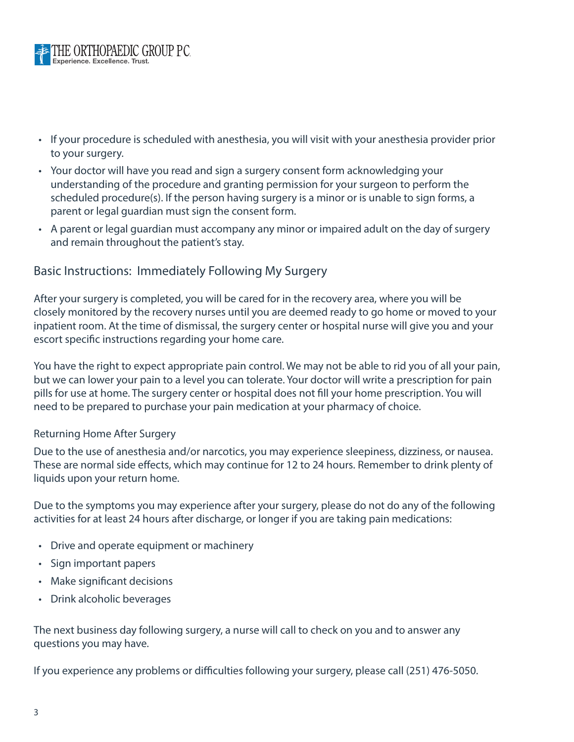

- If your procedure is scheduled with anesthesia, you will visit with your anesthesia provider prior to your surgery.
- Your doctor will have you read and sign a surgery consent form acknowledging your understanding of the procedure and granting permission for your surgeon to perform the scheduled procedure(s). If the person having surgery is a minor or is unable to sign forms, a parent or legal guardian must sign the consent form.
- A parent or legal guardian must accompany any minor or impaired adult on the day of surgery and remain throughout the patient's stay.

#### Basic Instructions: Immediately Following My Surgery

After your surgery is completed, you will be cared for in the recovery area, where you will be closely monitored by the recovery nurses until you are deemed ready to go home or moved to your inpatient room. At the time of dismissal, the surgery center or hospital nurse will give you and your escort specific instructions regarding your home care.

You have the right to expect appropriate pain control. We may not be able to rid you of all your pain, but we can lower your pain to a level you can tolerate. Your doctor will write a prescription for pain pills for use at home. The surgery center or hospital does not fill your home prescription. You will need to be prepared to purchase your pain medication at your pharmacy of choice.

#### Returning Home After Surgery

Due to the use of anesthesia and/or narcotics, you may experience sleepiness, dizziness, or nausea. These are normal side effects, which may continue for 12 to 24 hours. Remember to drink plenty of liquids upon your return home.

Due to the symptoms you may experience after your surgery, please do not do any of the following activities for at least 24 hours after discharge, or longer if you are taking pain medications:

- Drive and operate equipment or machinery
- Sign important papers
- Make significant decisions
- Drink alcoholic beverages

The next business day following surgery, a nurse will call to check on you and to answer any questions you may have.

If you experience any problems or difficulties following your surgery, please call (251) 476-5050.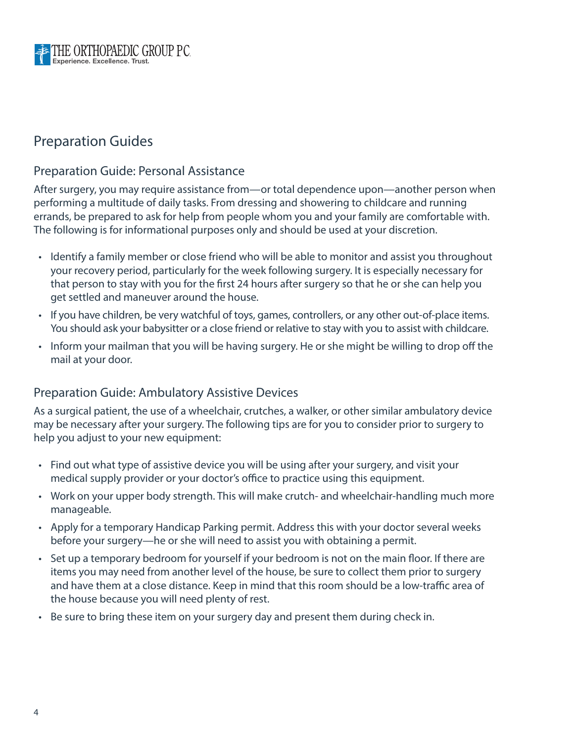

# Preparation Guides

#### Preparation Guide: Personal Assistance

After surgery, you may require assistance from—or total dependence upon—another person when performing a multitude of daily tasks. From dressing and showering to childcare and running errands, be prepared to ask for help from people whom you and your family are comfortable with. The following is for informational purposes only and should be used at your discretion.

- Identify a family member or close friend who will be able to monitor and assist you throughout your recovery period, particularly for the week following surgery. It is especially necessary for that person to stay with you for the first 24 hours after surgery so that he or she can help you get settled and maneuver around the house.
- If you have children, be very watchful of toys, games, controllers, or any other out-of-place items. You should ask your babysitter or a close friend or relative to stay with you to assist with childcare.
- Inform your mailman that you will be having surgery. He or she might be willing to drop off the mail at your door.

### Preparation Guide: Ambulatory Assistive Devices

As a surgical patient, the use of a wheelchair, crutches, a walker, or other similar ambulatory device may be necessary after your surgery. The following tips are for you to consider prior to surgery to help you adjust to your new equipment:

- Find out what type of assistive device you will be using after your surgery, and visit your medical supply provider or your doctor's office to practice using this equipment.
- Work on your upper body strength. This will make crutch- and wheelchair-handling much more manageable.
- Apply for a temporary Handicap Parking permit. Address this with your doctor several weeks before your surgery—he or she will need to assist you with obtaining a permit.
- Set up a temporary bedroom for yourself if your bedroom is not on the main floor. If there are items you may need from another level of the house, be sure to collect them prior to surgery and have them at a close distance. Keep in mind that this room should be a low-traffic area of the house because you will need plenty of rest.
- Be sure to bring these item on your surgery day and present them during check in.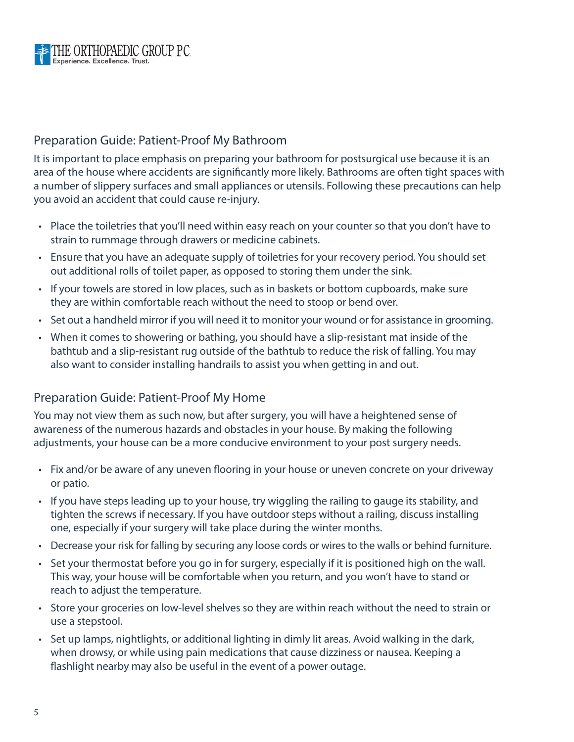

### Preparation Guide: Patient-Proof My Bathroom

It is important to place emphasis on preparing your bathroom for postsurgical use because it is an area of the house where accidents are significantly more likely. Bathrooms are often tight spaces with a number of slippery surfaces and small appliances or utensils. Following these precautions can help you avoid an accident that could cause re-injury.

- Place the toiletries that you'll need within easy reach on your counter so that you don't have to strain to rummage through drawers or medicine cabinets.
- Ensure that you have an adequate supply of toiletries for your recovery period. You should set out additional rolls of toilet paper, as opposed to storing them under the sink.
- If your towels are stored in low places, such as in baskets or bottom cupboards, make sure they are within comfortable reach without the need to stoop or bend over.
- Set out a handheld mirror if you will need it to monitor your wound or for assistance in grooming.
- When it comes to showering or bathing, you should have a slip-resistant mat inside of the bathtub and a slip-resistant rug outside of the bathtub to reduce the risk of falling. You may also want to consider installing handrails to assist you when getting in and out.

### Preparation Guide: Patient-Proof My Home

You may not view them as such now, but after surgery, you will have a heightened sense of awareness of the numerous hazards and obstacles in your house. By making the following adjustments, your house can be a more conducive environment to your post surgery needs.

- Fix and/or be aware of any uneven flooring in your house or uneven concrete on your driveway or patio.
- If you have steps leading up to your house, try wiggling the railing to gauge its stability, and tighten the screws if necessary. If you have outdoor steps without a railing, discuss installing one, especially if your surgery will take place during the winter months.
- Decrease your risk for falling by securing any loose cords or wires to the walls or behind furniture.
- Set your thermostat before you go in for surgery, especially if it is positioned high on the wall. This way, your house will be comfortable when you return, and you won't have to stand or reach to adjust the temperature.
- Store your groceries on low-level shelves so they are within reach without the need to strain or use a stepstool.
- Set up lamps, nightlights, or additional lighting in dimly lit areas. Avoid walking in the dark, when drowsy, or while using pain medications that cause dizziness or nausea. Keeping a flashlight nearby may also be useful in the event of a power outage.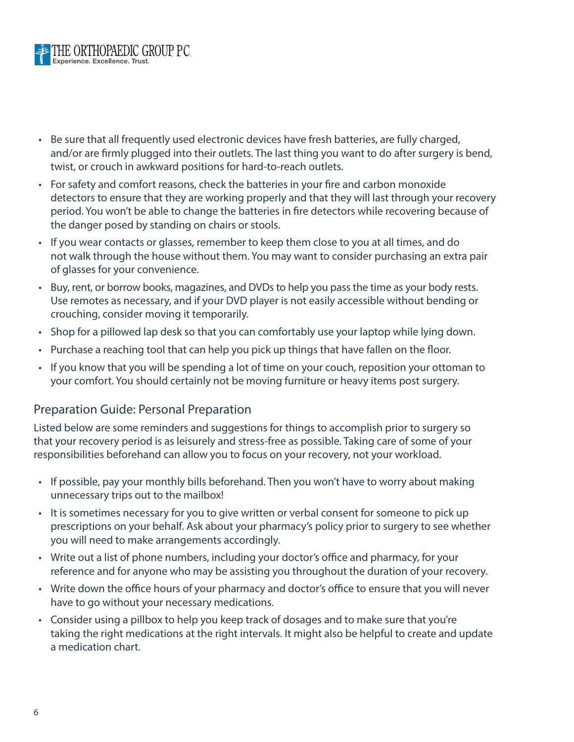

- Be sure that all frequently used electronic devices have fresh batteries, are fully charged, and/or are firmly plugged into their outlets. The last thing you want to do after surgery is bend, twist, or crouch in awkward positions for hard-to-reach outlets.
- For safety and comfort reasons, check the batteries in your fire and carbon monoxide detectors to ensure that they are working properly and that they will last through your recovery period. You won't be able to change the batteries in fire detectors while recovering because of the danger posed by standing on chairs or stools.
- If you wear contacts or glasses, remember to keep them close to you at all times, and do not walk through the house without them. You may want to consider purchasing an extra pair of glasses for your convenience.
- Buy, rent, or borrow books, magazines, and DVDs to help you pass the time as your body rests. Use remotes as necessary, and if your DVD player is not easily accessible without bending or crouching, consider moving it temporarily.
- Shop for a pillowed lap desk so that you can comfortably use your laptop while lying down.
- Purchase a reaching tool that can help you pick up things that have fallen on the floor.
- If you know that you will be spending a lot of time on your couch, reposition your ottoman to your comfort. You should certainly not be moving furniture or heavy items post surgery.

### Preparation Guide: Personal Preparation

Listed below are some reminders and suggestions for things to accomplish prior to surgery so that your recovery period is as leisurely and stress-free as possible. Taking care of some of your responsibilities beforehand can allow you to focus on your recovery, not your workload.

- If possible, pay your monthly bills beforehand. Then you won't have to worry about making unnecessary trips out to the mailbox!
- It is sometimes necessary for you to give written or verbal consent for someone to pick up prescriptions on your behalf. Ask about your pharmacy's policy prior to surgery to see whether you will need to make arrangements accordingly.
- Write out a list of phone numbers, including your doctor's office and pharmacy, for your reference and for anyone who may be assisting you throughout the duration of your recovery.
- Write down the office hours of your pharmacy and doctor's office to ensure that you will never have to go without your necessary medications.
- Consider using a pillbox to help you keep track of dosages and to make sure that you're taking the right medications at the right intervals. It might also be helpful to create and update a medication chart.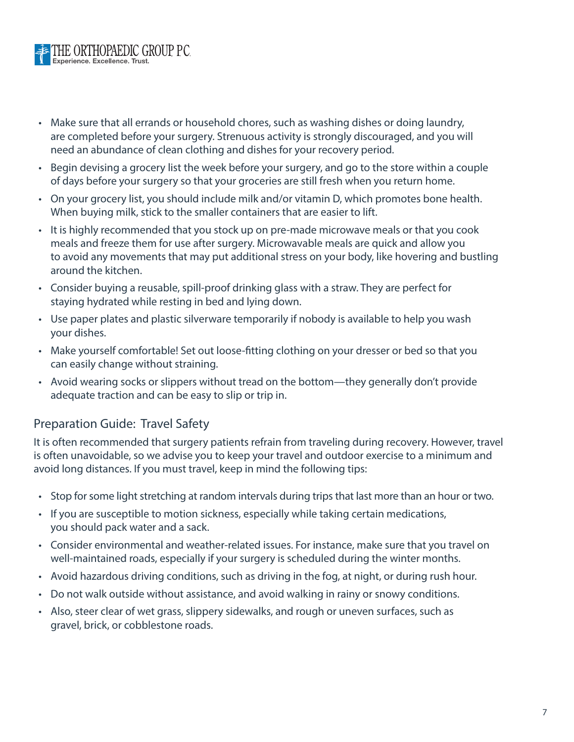

- Make sure that all errands or household chores, such as washing dishes or doing laundry, are completed before your surgery. Strenuous activity is strongly discouraged, and you will need an abundance of clean clothing and dishes for your recovery period.
- Begin devising a grocery list the week before your surgery, and go to the store within a couple of days before your surgery so that your groceries are still fresh when you return home.
- On your grocery list, you should include milk and/or vitamin D, which promotes bone health. When buying milk, stick to the smaller containers that are easier to lift.
- It is highly recommended that you stock up on pre-made microwave meals or that you cook meals and freeze them for use after surgery. Microwavable meals are quick and allow you to avoid any movements that may put additional stress on your body, like hovering and bustling around the kitchen.
- Consider buying a reusable, spill-proof drinking glass with a straw. They are perfect for staying hydrated while resting in bed and lying down.
- Use paper plates and plastic silverware temporarily if nobody is available to help you wash your dishes.
- Make yourself comfortable! Set out loose-fitting clothing on your dresser or bed so that you can easily change without straining.
- Avoid wearing socks or slippers without tread on the bottom—they generally don't provide adequate traction and can be easy to slip or trip in.

## Preparation Guide: Travel Safety

It is often recommended that surgery patients refrain from traveling during recovery. However, travel is often unavoidable, so we advise you to keep your travel and outdoor exercise to a minimum and avoid long distances. If you must travel, keep in mind the following tips:

- Stop for some light stretching at random intervals during trips that last more than an hour or two.
- If you are susceptible to motion sickness, especially while taking certain medications, you should pack water and a sack.
- Consider environmental and weather-related issues. For instance, make sure that you travel on well-maintained roads, especially if your surgery is scheduled during the winter months.
- Avoid hazardous driving conditions, such as driving in the fog, at night, or during rush hour.
- Do not walk outside without assistance, and avoid walking in rainy or snowy conditions.
- Also, steer clear of wet grass, slippery sidewalks, and rough or uneven surfaces, such as gravel, brick, or cobblestone roads.